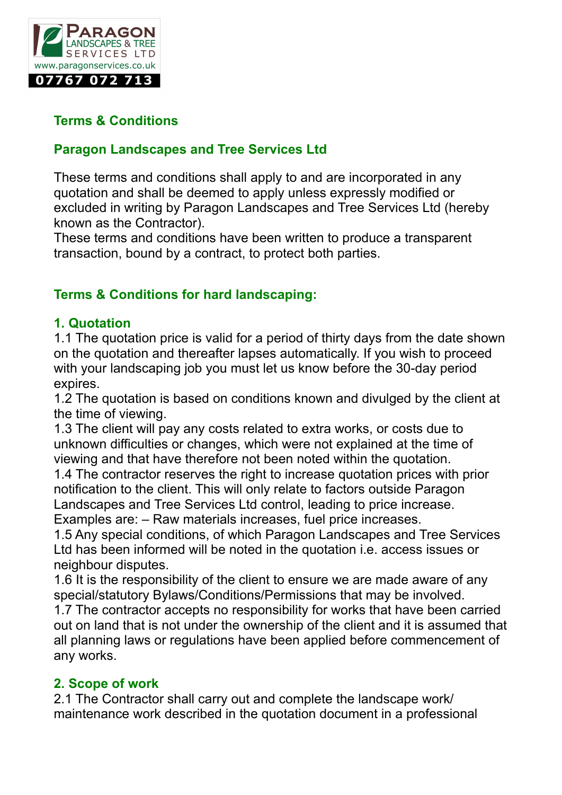

## **Terms & Conditions**

### **Paragon Landscapes and Tree Services Ltd**

These terms and conditions shall apply to and are incorporated in any quotation and shall be deemed to apply unless expressly modified or excluded in writing by Paragon Landscapes and Tree Services Ltd (hereby known as the Contractor).

These terms and conditions have been written to produce a transparent transaction, bound by a contract, to protect both parties.

## **Terms & Conditions for hard landscaping:**

#### **1. Quotation**

1.1 The quotation price is valid for a period of thirty days from the date shown on the quotation and thereafter lapses automatically. If you wish to proceed with your landscaping job you must let us know before the 30-day period expires.

1.2 The quotation is based on conditions known and divulged by the client at the time of viewing.

1.3 The client will pay any costs related to extra works, or costs due to unknown difficulties or changes, which were not explained at the time of viewing and that have therefore not been noted within the quotation.

1.4 The contractor reserves the right to increase quotation prices with prior notification to the client. This will only relate to factors outside Paragon Landscapes and Tree Services Ltd control, leading to price increase. Examples are: – Raw materials increases, fuel price increases.

1.5 Any special conditions, of which Paragon Landscapes and Tree Services Ltd has been informed will be noted in the quotation i.e. access issues or neighbour disputes.

1.6 It is the responsibility of the client to ensure we are made aware of any special/statutory Bylaws/Conditions/Permissions that may be involved.

1.7 The contractor accepts no responsibility for works that have been carried out on land that is not under the ownership of the client and it is assumed that all planning laws or regulations have been applied before commencement of any works.

### **2. Scope of work**

2.1 The Contractor shall carry out and complete the landscape work/ maintenance work described in the quotation document in a professional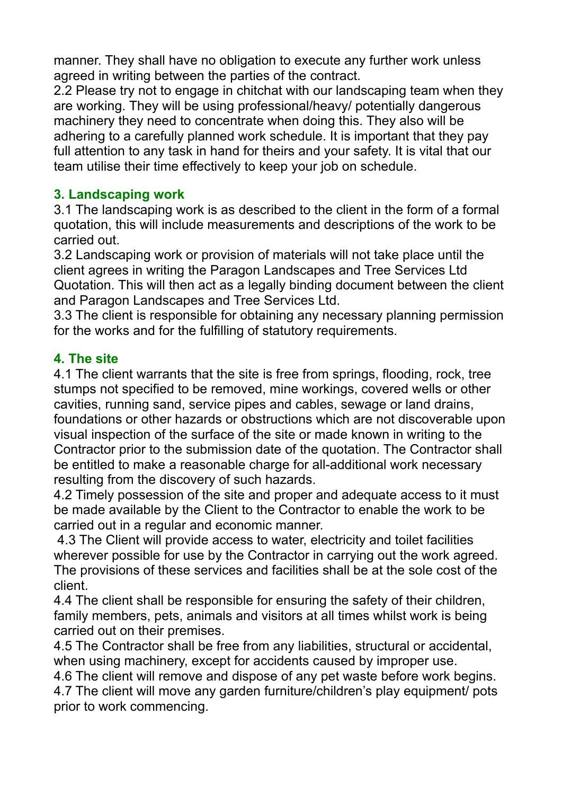manner. They shall have no obligation to execute any further work unless agreed in writing between the parties of the contract.

2.2 Please try not to engage in chitchat with our landscaping team when they are working. They will be using professional/heavy/ potentially dangerous machinery they need to concentrate when doing this. They also will be adhering to a carefully planned work schedule. It is important that they pay full attention to any task in hand for theirs and your safety. It is vital that our team utilise their time effectively to keep your job on schedule.

## **3. Landscaping work**

3.1 The landscaping work is as described to the client in the form of a formal quotation, this will include measurements and descriptions of the work to be carried out.

3.2 Landscaping work or provision of materials will not take place until the client agrees in writing the Paragon Landscapes and Tree Services Ltd Quotation. This will then act as a legally binding document between the client and Paragon Landscapes and Tree Services Ltd.

3.3 The client is responsible for obtaining any necessary planning permission for the works and for the fulfilling of statutory requirements.

## **4. The site**

4.1 The client warrants that the site is free from springs, flooding, rock, tree stumps not specified to be removed, mine workings, covered wells or other cavities, running sand, service pipes and cables, sewage or land drains, foundations or other hazards or obstructions which are not discoverable upon visual inspection of the surface of the site or made known in writing to the Contractor prior to the submission date of the quotation. The Contractor shall be entitled to make a reasonable charge for all-additional work necessary resulting from the discovery of such hazards.

4.2 Timely possession of the site and proper and adequate access to it must be made available by the Client to the Contractor to enable the work to be carried out in a regular and economic manner.

 4.3 The Client will provide access to water, electricity and toilet facilities wherever possible for use by the Contractor in carrying out the work agreed. The provisions of these services and facilities shall be at the sole cost of the client.

4.4 The client shall be responsible for ensuring the safety of their children, family members, pets, animals and visitors at all times whilst work is being carried out on their premises.

4.5 The Contractor shall be free from any liabilities, structural or accidental, when using machinery, except for accidents caused by improper use.

4.6 The client will remove and dispose of any pet waste before work begins.

4.7 The client will move any garden furniture/children's play equipment/ pots prior to work commencing.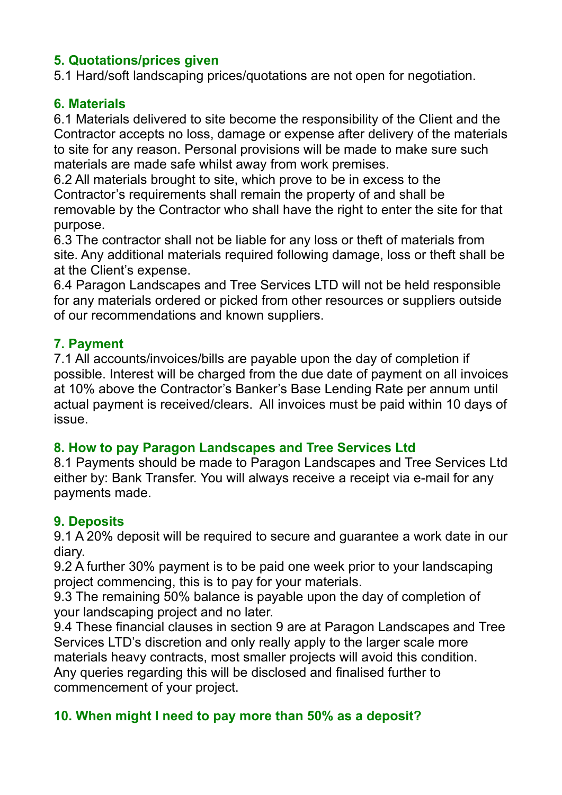## **5. Quotations/prices given**

5.1 Hard/soft landscaping prices/quotations are not open for negotiation.

### **6. Materials**

6.1 Materials delivered to site become the responsibility of the Client and the Contractor accepts no loss, damage or expense after delivery of the materials to site for any reason. Personal provisions will be made to make sure such materials are made safe whilst away from work premises.

6.2 All materials brought to site, which prove to be in excess to the Contractor's requirements shall remain the property of and shall be removable by the Contractor who shall have the right to enter the site for that purpose.

6.3 The contractor shall not be liable for any loss or theft of materials from site. Any additional materials required following damage, loss or theft shall be at the Client's expense.

6.4 Paragon Landscapes and Tree Services LTD will not be held responsible for any materials ordered or picked from other resources or suppliers outside of our recommendations and known suppliers.

### **7. Payment**

7.1 All accounts/invoices/bills are payable upon the day of completion if possible. Interest will be charged from the due date of payment on all invoices at 10% above the Contractor's Banker's Base Lending Rate per annum until actual payment is received/clears. All invoices must be paid within 10 days of issue.

### **8. How to pay Paragon Landscapes and Tree Services Ltd**

8.1 Payments should be made to Paragon Landscapes and Tree Services Ltd either by: Bank Transfer. You will always receive a receipt via e-mail for any payments made.

### **9. Deposits**

9.1 A 20% deposit will be required to secure and guarantee a work date in our diary.

9.2 A further 30% payment is to be paid one week prior to your landscaping project commencing, this is to pay for your materials.

9.3 The remaining 50% balance is payable upon the day of completion of your landscaping project and no later.

9.4 These financial clauses in section 9 are at Paragon Landscapes and Tree Services LTD's discretion and only really apply to the larger scale more materials heavy contracts, most smaller projects will avoid this condition. Any queries regarding this will be disclosed and finalised further to commencement of your project.

## **10. When might I need to pay more than 50% as a deposit?**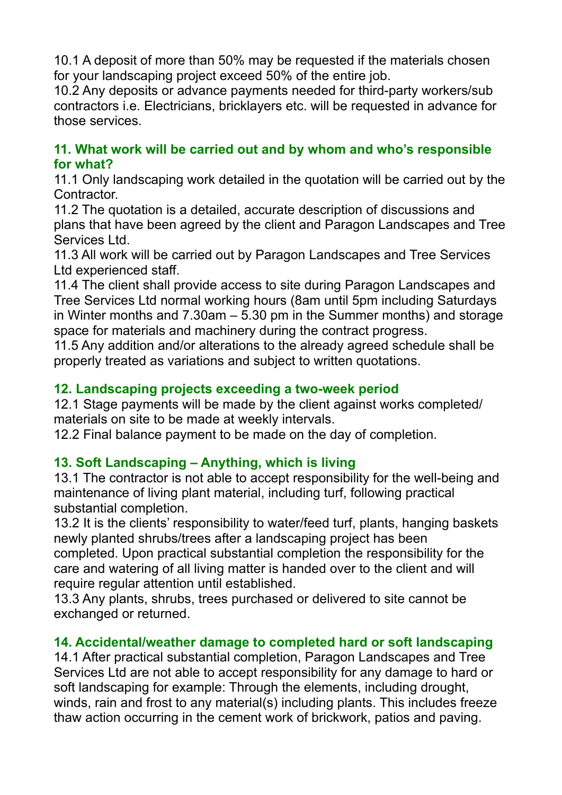10.1 A deposit of more than 50% may be requested if the materials chosen for your landscaping project exceed 50% of the entire job.

10.2 Any deposits or advance payments needed for third-party workers/sub contractors i.e. Electricians, bricklayers etc. will be requested in advance for those services.

### **11. What work will be carried out and by whom and who's responsible for what?**

11.1 Only landscaping work detailed in the quotation will be carried out by the Contractor.

11.2 The quotation is a detailed, accurate description of discussions and plans that have been agreed by the client and Paragon Landscapes and Tree Services Ltd.

11.3 All work will be carried out by Paragon Landscapes and Tree Services Ltd experienced staff.

11.4 The client shall provide access to site during Paragon Landscapes and Tree Services Ltd normal working hours (8am until 5pm including Saturdays in Winter months and 7.30am – 5.30 pm in the Summer months) and storage space for materials and machinery during the contract progress.

11.5 Any addition and/or alterations to the already agreed schedule shall be properly treated as variations and subject to written quotations.

## **12. Landscaping projects exceeding a two-week period**

12.1 Stage payments will be made by the client against works completed/ materials on site to be made at weekly intervals.

12.2 Final balance payment to be made on the day of completion.

## **13. Soft Landscaping – Anything, which is living**

13.1 The contractor is not able to accept responsibility for the well-being and maintenance of living plant material, including turf, following practical substantial completion.

13.2 It is the clients' responsibility to water/feed turf, plants, hanging baskets newly planted shrubs/trees after a landscaping project has been completed. Upon practical substantial completion the responsibility for the care and watering of all living matter is handed over to the client and will require regular attention until established.

13.3 Any plants, shrubs, trees purchased or delivered to site cannot be exchanged or returned.

## **14. Accidental/weather damage to completed hard or soft landscaping**

14.1 After practical substantial completion, Paragon Landscapes and Tree Services Ltd are not able to accept responsibility for any damage to hard or soft landscaping for example: Through the elements, including drought, winds, rain and frost to any material(s) including plants. This includes freeze thaw action occurring in the cement work of brickwork, patios and paving.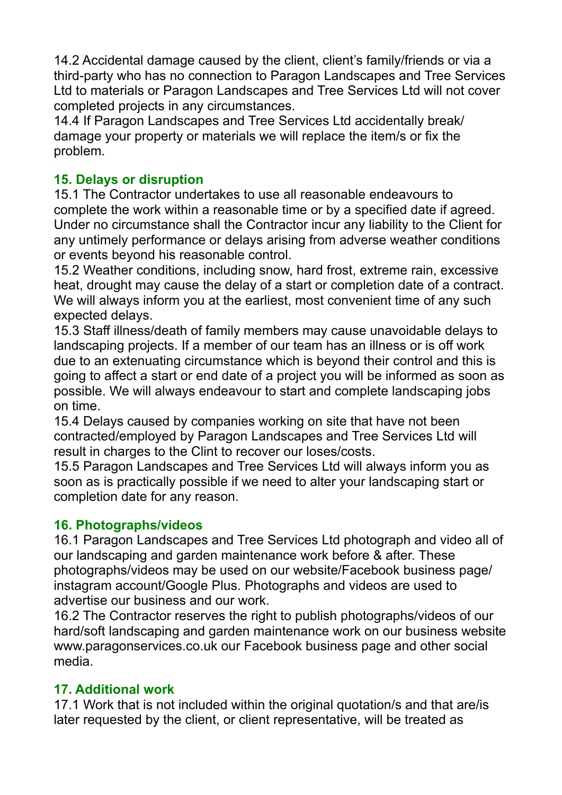14.2 Accidental damage caused by the client, client's family/friends or via a third-party who has no connection to Paragon Landscapes and Tree Services Ltd to materials or Paragon Landscapes and Tree Services Ltd will not cover completed projects in any circumstances.

14.4 If Paragon Landscapes and Tree Services Ltd accidentally break/ damage your property or materials we will replace the item/s or fix the problem.

## **15. Delays or disruption**

15.1 The Contractor undertakes to use all reasonable endeavours to complete the work within a reasonable time or by a specified date if agreed. Under no circumstance shall the Contractor incur any liability to the Client for any untimely performance or delays arising from adverse weather conditions or events beyond his reasonable control.

15.2 Weather conditions, including snow, hard frost, extreme rain, excessive heat, drought may cause the delay of a start or completion date of a contract. We will always inform you at the earliest, most convenient time of any such expected delays.

15.3 Staff illness/death of family members may cause unavoidable delays to landscaping projects. If a member of our team has an illness or is off work due to an extenuating circumstance which is beyond their control and this is going to affect a start or end date of a project you will be informed as soon as possible. We will always endeavour to start and complete landscaping jobs on time.

15.4 Delays caused by companies working on site that have not been contracted/employed by Paragon Landscapes and Tree Services Ltd will result in charges to the Clint to recover our loses/costs.

15.5 Paragon Landscapes and Tree Services Ltd will always inform you as soon as is practically possible if we need to alter your landscaping start or completion date for any reason.

### **16. Photographs/videos**

16.1 Paragon Landscapes and Tree Services Ltd photograph and video all of our landscaping and garden maintenance work before & after. These photographs/videos may be used on our website/Facebook business page/ instagram account/Google Plus. Photographs and videos are used to advertise our business and our work.

16.2 The Contractor reserves the right to publish photographs/videos of our hard/soft landscaping and garden maintenance work on our business website www.paragonservices.co.uk our Facebook business page and other social media.

### **17. Additional work**

17.1 Work that is not included within the original quotation/s and that are/is later requested by the client, or client representative, will be treated as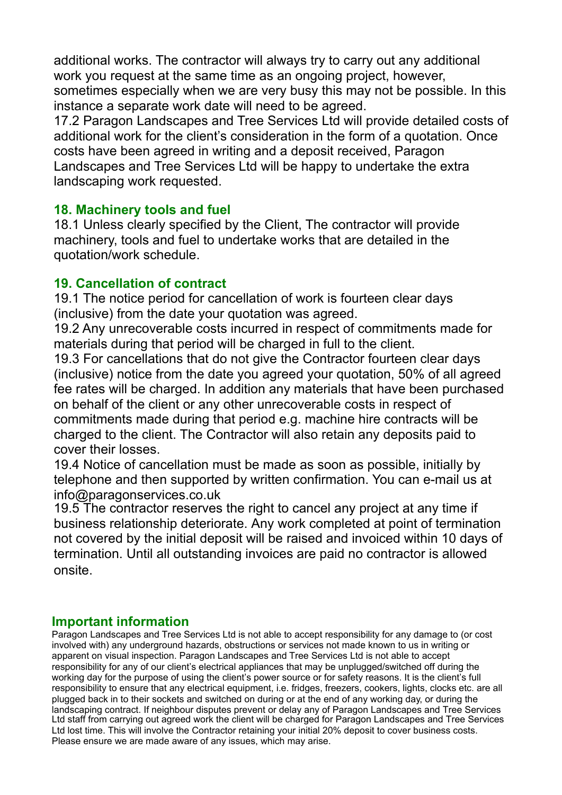additional works. The contractor will always try to carry out any additional work you request at the same time as an ongoing project, however, sometimes especially when we are very busy this may not be possible. In this instance a separate work date will need to be agreed.

17.2 Paragon Landscapes and Tree Services Ltd will provide detailed costs of additional work for the client's consideration in the form of a quotation. Once costs have been agreed in writing and a deposit received, Paragon Landscapes and Tree Services Ltd will be happy to undertake the extra landscaping work requested.

#### **18. Machinery tools and fuel**

18.1 Unless clearly specified by the Client, The contractor will provide machinery, tools and fuel to undertake works that are detailed in the quotation/work schedule.

#### **19. Cancellation of contract**

19.1 The notice period for cancellation of work is fourteen clear days (inclusive) from the date your quotation was agreed.

19.2 Any unrecoverable costs incurred in respect of commitments made for materials during that period will be charged in full to the client.

19.3 For cancellations that do not give the Contractor fourteen clear days (inclusive) notice from the date you agreed your quotation, 50% of all agreed fee rates will be charged. In addition any materials that have been purchased on behalf of the client or any other unrecoverable costs in respect of commitments made during that period e.g. machine hire contracts will be charged to the client. The Contractor will also retain any deposits paid to cover their losses.

19.4 Notice of cancellation must be made as soon as possible, initially by telephone and then supported by written confirmation. You can e-mail us at info@paragonservices.co.uk

19.5 The contractor reserves the right to cancel any project at any time if business relationship deteriorate. Any work completed at point of termination not covered by the initial deposit will be raised and invoiced within 10 days of termination. Until all outstanding invoices are paid no contractor is allowed onsite.

### **Important information**

Paragon Landscapes and Tree Services Ltd is not able to accept responsibility for any damage to (or cost involved with) any underground hazards, obstructions or services not made known to us in writing or apparent on visual inspection. Paragon Landscapes and Tree Services Ltd is not able to accept responsibility for any of our client's electrical appliances that may be unplugged/switched off during the working day for the purpose of using the client's power source or for safety reasons. It is the client's full responsibility to ensure that any electrical equipment, i.e. fridges, freezers, cookers, lights, clocks etc. are all plugged back in to their sockets and switched on during or at the end of any working day, or during the landscaping contract. If neighbour disputes prevent or delay any of Paragon Landscapes and Tree Services Ltd staff from carrying out agreed work the client will be charged for Paragon Landscapes and Tree Services Ltd lost time. This will involve the Contractor retaining your initial 20% deposit to cover business costs. Please ensure we are made aware of any issues, which may arise.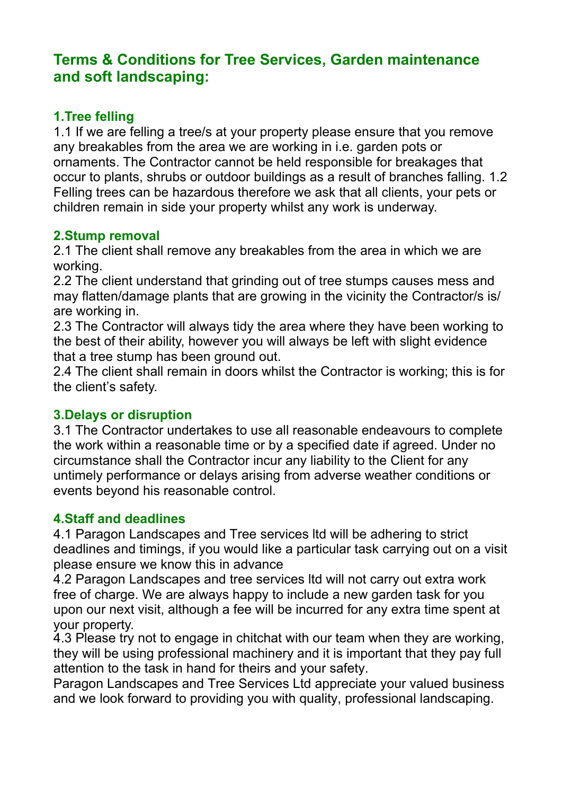# **Terms & Conditions for Tree Services, Garden maintenance and soft landscaping:**

### **1.Tree felling**

1.1 If we are felling a tree/s at your property please ensure that you remove any breakables from the area we are working in i.e. garden pots or ornaments. The Contractor cannot be held responsible for breakages that occur to plants, shrubs or outdoor buildings as a result of branches falling. 1.2 Felling trees can be hazardous therefore we ask that all clients, your pets or children remain in side your property whilst any work is underway.

### **2.Stump removal**

2.1 The client shall remove any breakables from the area in which we are working.

2.2 The client understand that grinding out of tree stumps causes mess and may flatten/damage plants that are growing in the vicinity the Contractor/s is/ are working in.

2.3 The Contractor will always tidy the area where they have been working to the best of their ability, however you will always be left with slight evidence that a tree stump has been ground out.

2.4 The client shall remain in doors whilst the Contractor is working; this is for the client's safety.

### **3.Delays or disruption**

3.1 The Contractor undertakes to use all reasonable endeavours to complete the work within a reasonable time or by a specified date if agreed. Under no circumstance shall the Contractor incur any liability to the Client for any untimely performance or delays arising from adverse weather conditions or events beyond his reasonable control.

## **4.Staff and deadlines**

4.1 Paragon Landscapes and Tree services ltd will be adhering to strict deadlines and timings, if you would like a particular task carrying out on a visit please ensure we know this in advance

4.2 Paragon Landscapes and tree services ltd will not carry out extra work free of charge. We are always happy to include a new garden task for you upon our next visit, although a fee will be incurred for any extra time spent at your property.

4.3 Please try not to engage in chitchat with our team when they are working, they will be using professional machinery and it is important that they pay full attention to the task in hand for theirs and your safety.

Paragon Landscapes and Tree Services Ltd appreciate your valued business and we look forward to providing you with quality, professional landscaping.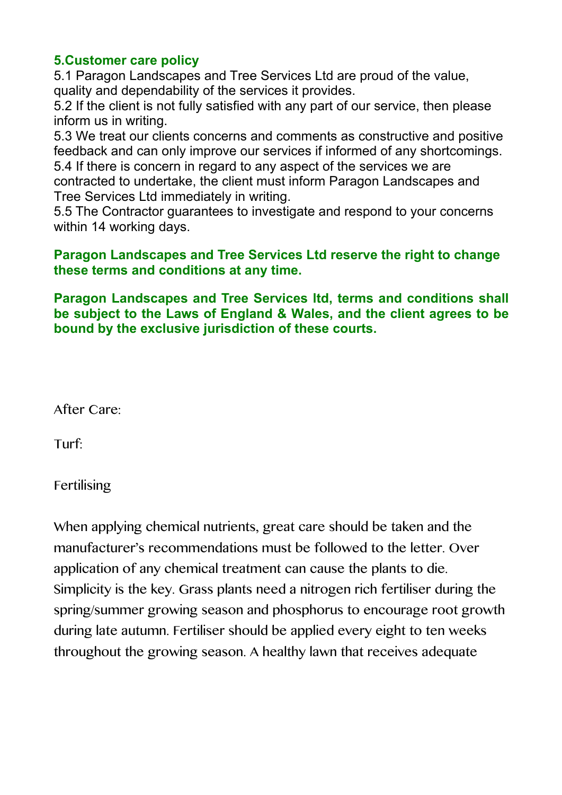### **5.Customer care policy**

5.1 Paragon Landscapes and Tree Services Ltd are proud of the value, quality and dependability of the services it provides.

5.2 If the client is not fully satisfied with any part of our service, then please inform us in writing.

5.3 We treat our clients concerns and comments as constructive and positive feedback and can only improve our services if informed of any shortcomings. 5.4 If there is concern in regard to any aspect of the services we are contracted to undertake, the client must inform Paragon Landscapes and

Tree Services Ltd immediately in writing. 5.5 The Contractor guarantees to investigate and respond to your concerns

within 14 working days.

#### **Paragon Landscapes and Tree Services Ltd reserve the right to change these terms and conditions at any time.**

**Paragon Landscapes and Tree Services ltd, terms and conditions shall be subject to the Laws of England & Wales, and the client agrees to be bound by the exclusive jurisdiction of these courts.**

After Care:

Turf:

Fertilising

When applying chemical nutrients, great care should be taken and the manufacturer's recommendations must be followed to the letter. Over application of any chemical treatment can cause the plants to die. Simplicity is the key. Grass plants need a nitrogen rich fertiliser during the spring/summer growing season and phosphorus to encourage root growth during late autumn. Fertiliser should be applied every eight to ten weeks throughout the growing season. A healthy lawn that receives adequate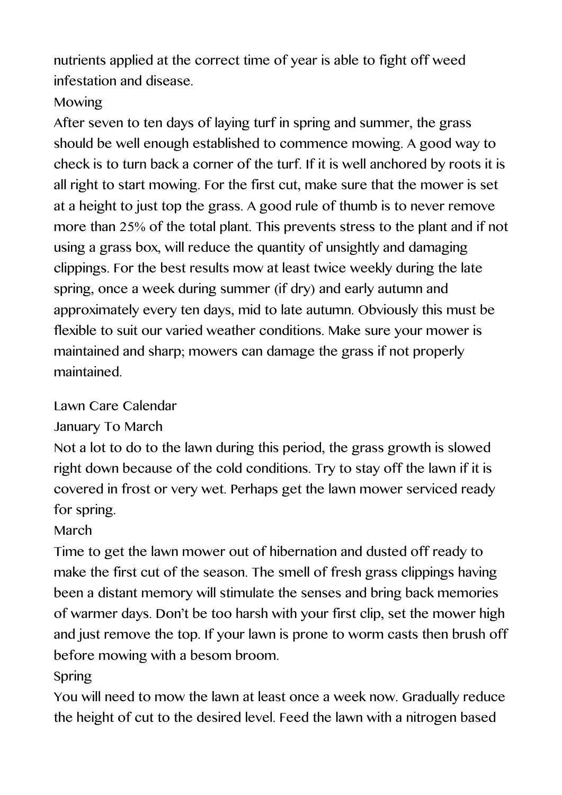nutrients applied at the correct time of year is able to fight off weed infestation and disease.

# Mowing

After seven to ten days of laying turf in spring and summer, the grass should be well enough established to commence mowing. A good way to check is to turn back a corner of the turf. If it is well anchored by roots it is all right to start mowing. For the first cut, make sure that the mower is set at a height to just top the grass. A good rule of thumb is to never remove more than 25% of the total plant. This prevents stress to the plant and if not using a grass box, will reduce the quantity of unsightly and damaging clippings. For the best results mow at least twice weekly during the late spring, once a week during summer (if dry) and early autumn and approximately every ten days, mid to late autumn. Obviously this must be flexible to suit our varied weather conditions. Make sure your mower is maintained and sharp; mowers can damage the grass if not properly maintained.

# Lawn Care Calendar

January To March

Not a lot to do to the lawn during this period, the grass growth is slowed right down because of the cold conditions. Try to stay off the lawn if it is covered in frost or very wet. Perhaps get the lawn mower serviced ready for spring.

# March

Time to get the lawn mower out of hibernation and dusted off ready to make the first cut of the season. The smell of fresh grass clippings having been a distant memory will stimulate the senses and bring back memories of warmer days. Don't be too harsh with your first clip, set the mower high and just remove the top. If your lawn is prone to worm casts then brush off before mowing with a besom broom.

# Spring

You will need to mow the lawn at least once a week now. Gradually reduce the height of cut to the desired level. Feed the lawn with a nitrogen based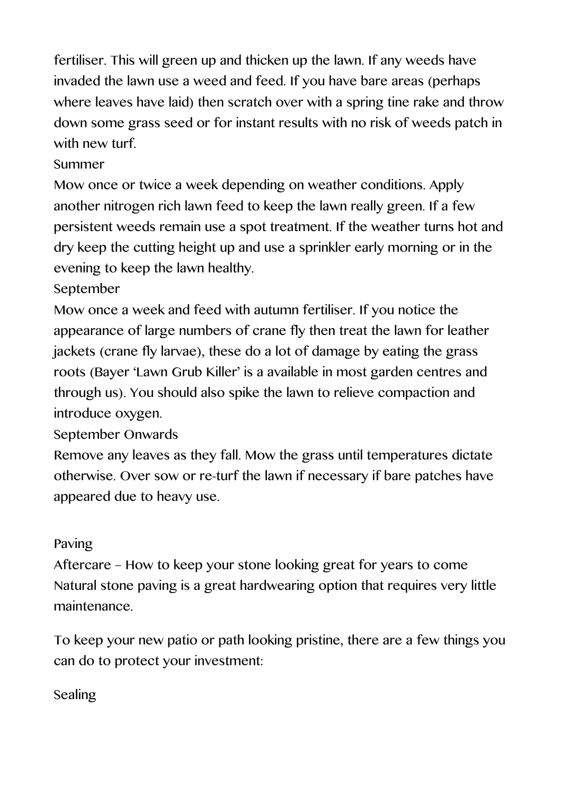fertiliser. This will green up and thicken up the lawn. If any weeds have invaded the lawn use a weed and feed. If you have bare areas (perhaps where leaves have laid) then scratch over with a spring tine rake and throw down some grass seed or for instant results with no risk of weeds patch in with new turf.

## Summer

Mow once or twice a week depending on weather conditions. Apply another nitrogen rich lawn feed to keep the lawn really green. If a few persistent weeds remain use a spot treatment. If the weather turns hot and dry keep the cutting height up and use a sprinkler early morning or in the evening to keep the lawn healthy.

## September

Mow once a week and feed with autumn fertiliser. If you notice the appearance of large numbers of crane fly then treat the lawn for leather jackets (crane fly larvae), these do a lot of damage by eating the grass roots (Bayer 'Lawn Grub Killer' is a available in most garden centres and through us). You should also spike the lawn to relieve compaction and introduce oxygen.

## September Onwards

Remove any leaves as they fall. Mow the grass until temperatures dictate otherwise. Over sow or re-turf the lawn if necessary if bare patches have appeared due to heavy use.

## Paving

Aftercare – How to keep your stone looking great for years to come Natural stone paving is a great hardwearing option that requires very little maintenance.

To keep your new patio or path looking pristine, there are a few things you can do to protect your investment:

## Sealing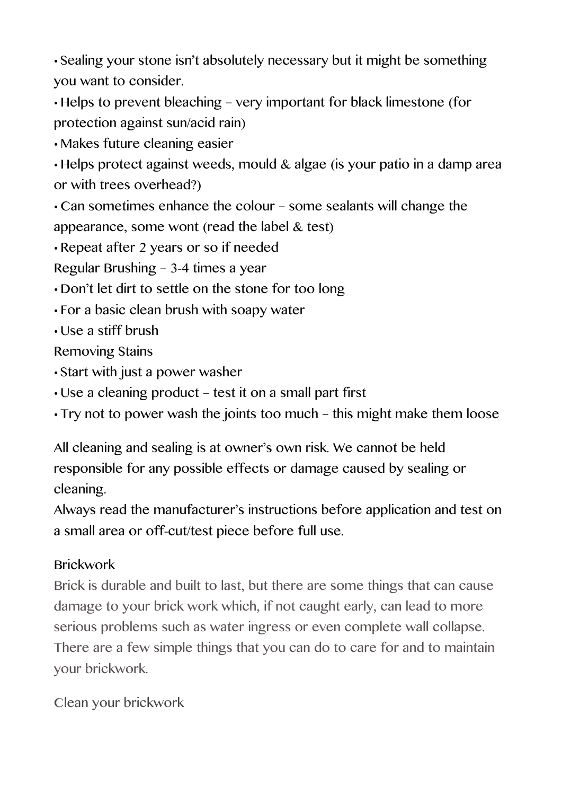• Sealing your stone isn't absolutely necessary but it might be something you want to consider.

• Helps to prevent bleaching – very important for black limestone (for protection against sun/acid rain)

• Makes future cleaning easier

• Helps protect against weeds, mould & algae (is your patio in a damp area or with trees overhead?)

• Can sometimes enhance the colour – some sealants will change the appearance, some wont (read the label & test)

• Repeat after 2 years or so if needed

Regular Brushing – 3-4 times a year

• Don't let dirt to settle on the stone for too long

• For a basic clean brush with soapy water

• Use a stiff brush

Removing Stains

- Start with just a power washer
- Use a cleaning product test it on a small part first
- Try not to power wash the joints too much this might make them loose

All cleaning and sealing is at owner's own risk. We cannot be held responsible for any possible effects or damage caused by sealing or cleaning.

Always read the manufacturer's instructions before application and test on a small area or off-cut/test piece before full use.

# Brickwork

Brick is durable and built to last, but there are some things that can cause damage to your brick work which, if not caught early, can lead to more serious problems such as water ingress or even complete wall collapse. There are a few simple things that you can do to care for and to maintain your brickwork.

Clean your brickwork